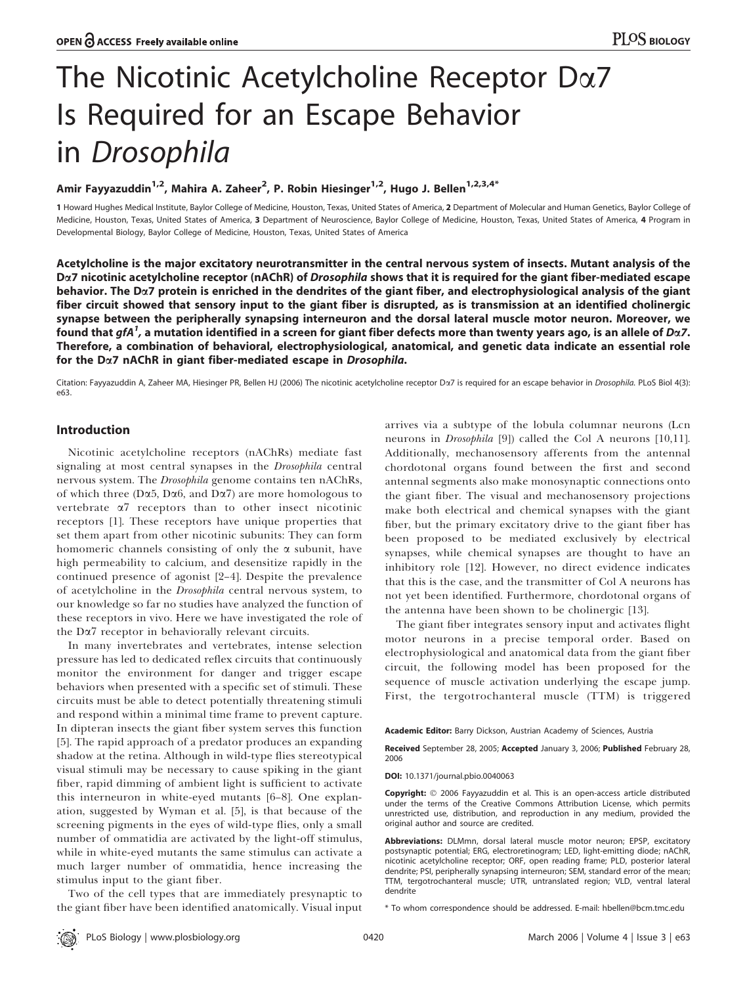# The Nicotinic Acetylcholine Receptor Da7 Is Required for an Escape Behavior in Drosophila

# Amir Fayyazuddin<sup>1,2</sup>, Mahira A. Zaheer<sup>2</sup>, P. Robin Hiesinger<sup>1,2</sup>, Hugo J. Bellen<sup>1,2,3,4\*</sup>

1 Howard Hughes Medical Institute, Baylor College of Medicine, Houston, Texas, United States of America, 2 Department of Molecular and Human Genetics, Baylor College of Medicine, Houston, Texas, United States of America, 3 Department of Neuroscience, Baylor College of Medicine, Houston, Texas, United States of America, 4 Program in Developmental Biology, Baylor College of Medicine, Houston, Texas, United States of America

Acetylcholine is the major excitatory neurotransmitter in the central nervous system of insects. Mutant analysis of the D<sub> $\alpha$ </sub>7 nicotinic acetylcholine receptor (nAChR) of *Drosophila* shows that it is required for the giant fiber-mediated escape behavior. The  $D\alpha$ 7 protein is enriched in the dendrites of the giant fiber, and electrophysiological analysis of the giant fiber circuit showed that sensory input to the giant fiber is disrupted, as is transmission at an identified cholinergic synapse between the peripherally synapsing interneuron and the dorsal lateral muscle motor neuron. Moreover, we found that  $g f A^1$ , a mutation identified in a screen for giant fiber defects more than twenty years ago, is an allele of Dα7. Therefore, a combination of behavioral, electrophysiological, anatomical, and genetic data indicate an essential role for the Da7 nAChR in giant fiber-mediated escape in Drosophila.

Citation: Fayyazuddin A, Zaheer MA, Hiesinger PR, Bellen HJ (2006) The nicotinic acetylcholine receptor Da7 is required for an escape behavior in Drosophila. PLoS Biol 4(3): e63.

# Introduction

Nicotinic acetylcholine receptors (nAChRs) mediate fast signaling at most central synapses in the Drosophila central nervous system. The Drosophila genome contains ten nAChRs, of which three (D $\alpha$ 5, D $\alpha$ 6, and D $\alpha$ 7) are more homologous to vertebrate  $\alpha$ <sup>7</sup> receptors than to other insect nicotinic receptors [1]. These receptors have unique properties that set them apart from other nicotinic subunits: They can form homomeric channels consisting of only the  $\alpha$  subunit, have high permeability to calcium, and desensitize rapidly in the continued presence of agonist [2–4]. Despite the prevalence of acetylcholine in the Drosophila central nervous system, to our knowledge so far no studies have analyzed the function of these receptors in vivo. Here we have investigated the role of the Da7 receptor in behaviorally relevant circuits.

In many invertebrates and vertebrates, intense selection pressure has led to dedicated reflex circuits that continuously monitor the environment for danger and trigger escape behaviors when presented with a specific set of stimuli. These circuits must be able to detect potentially threatening stimuli and respond within a minimal time frame to prevent capture. In dipteran insects the giant fiber system serves this function [5]. The rapid approach of a predator produces an expanding shadow at the retina. Although in wild-type flies stereotypical visual stimuli may be necessary to cause spiking in the giant fiber, rapid dimming of ambient light is sufficient to activate this interneuron in white-eyed mutants [6–8]. One explanation, suggested by Wyman et al. [5], is that because of the screening pigments in the eyes of wild-type flies, only a small number of ommatidia are activated by the light-off stimulus, while in white-eyed mutants the same stimulus can activate a much larger number of ommatidia, hence increasing the stimulus input to the giant fiber.

Two of the cell types that are immediately presynaptic to the giant fiber have been identified anatomically. Visual input

arrives via a subtype of the lobula columnar neurons (Lcn neurons in Drosophila [9]) called the Col A neurons [10,11]. Additionally, mechanosensory afferents from the antennal chordotonal organs found between the first and second antennal segments also make monosynaptic connections onto the giant fiber. The visual and mechanosensory projections make both electrical and chemical synapses with the giant fiber, but the primary excitatory drive to the giant fiber has been proposed to be mediated exclusively by electrical synapses, while chemical synapses are thought to have an inhibitory role [12]. However, no direct evidence indicates that this is the case, and the transmitter of Col A neurons has not yet been identified. Furthermore, chordotonal organs of the antenna have been shown to be cholinergic [13].

The giant fiber integrates sensory input and activates flight motor neurons in a precise temporal order. Based on electrophysiological and anatomical data from the giant fiber circuit, the following model has been proposed for the sequence of muscle activation underlying the escape jump. First, the tergotrochanteral muscle (TTM) is triggered

Academic Editor: Barry Dickson, Austrian Academy of Sciences, Austria

Received September 28, 2005; Accepted January 3, 2006; Published February 28, 2006

DOI: 10.1371/journal.pbio.0040063

Copyright: © 2006 Fayyazuddin et al. This is an open-access article distributed under the terms of the Creative Commons Attribution License, which permits unrestricted use, distribution, and reproduction in any medium, provided the original author and source are credited.

Abbreviations: DLMmn, dorsal lateral muscle motor neuron; EPSP, excitatory postsynaptic potential; ERG, electroretinogram; LED, light-emitting diode; nAChR, nicotinic acetylcholine receptor; ORF, open reading frame; PLD, posterior lateral dendrite; PSI, peripherally synapsing interneuron; SEM, standard error of the mean; TTM, tergotrochanteral muscle; UTR, untranslated region; VLD, ventral lateral dendrite

\* To whom correspondence should be addressed. E-mail: hbellen@bcm.tmc.edu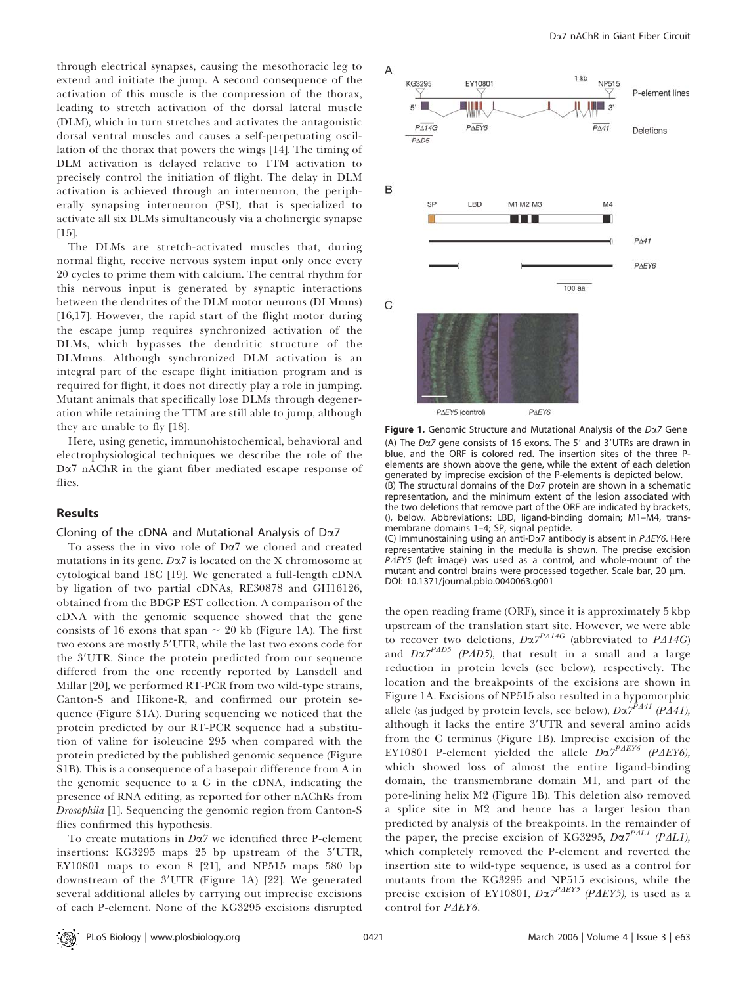through electrical synapses, causing the mesothoracic leg to extend and initiate the jump. A second consequence of the activation of this muscle is the compression of the thorax, leading to stretch activation of the dorsal lateral muscle (DLM), which in turn stretches and activates the antagonistic dorsal ventral muscles and causes a self-perpetuating oscillation of the thorax that powers the wings [14]. The timing of DLM activation is delayed relative to TTM activation to precisely control the initiation of flight. The delay in DLM activation is achieved through an interneuron, the peripherally synapsing interneuron (PSI), that is specialized to activate all six DLMs simultaneously via a cholinergic synapse [15].

The DLMs are stretch-activated muscles that, during normal flight, receive nervous system input only once every 20 cycles to prime them with calcium. The central rhythm for this nervous input is generated by synaptic interactions between the dendrites of the DLM motor neurons (DLMmns) [16,17]. However, the rapid start of the flight motor during the escape jump requires synchronized activation of the DLMs, which bypasses the dendritic structure of the DLMmns. Although synchronized DLM activation is an integral part of the escape flight initiation program and is required for flight, it does not directly play a role in jumping. Mutant animals that specifically lose DLMs through degeneration while retaining the TTM are still able to jump, although they are unable to fly [18].

Here, using genetic, immunohistochemical, behavioral and electrophysiological techniques we describe the role of the Da7 nAChR in the giant fiber mediated escape response of flies.

#### Results

#### Cloning of the cDNA and Mutational Analysis of  $D\alpha$ 7

To assess the in vivo role of Da7 we cloned and created mutations in its gene. Da7 is located on the X chromosome at cytological band 18C [19]. We generated a full-length cDNA by ligation of two partial cDNAs, RE30878 and GH16126, obtained from the BDGP EST collection. A comparison of the cDNA with the genomic sequence showed that the gene consists of 16 exons that span  $\sim$  20 kb (Figure 1A). The first two exons are mostly 5'UTR, while the last two exons code for the 3'UTR. Since the protein predicted from our sequence differed from the one recently reported by Lansdell and Millar [20], we performed RT-PCR from two wild-type strains, Canton-S and Hikone-R, and confirmed our protein sequence (Figure S1A). During sequencing we noticed that the protein predicted by our RT-PCR sequence had a substitution of valine for isoleucine 295 when compared with the protein predicted by the published genomic sequence (Figure S1B). This is a consequence of a basepair difference from A in the genomic sequence to a G in the cDNA, indicating the presence of RNA editing, as reported for other nAChRs from Drosophila [1]. Sequencing the genomic region from Canton-S flies confirmed this hypothesis.

To create mutations in  $D\alpha$ 7 we identified three P-element insertions: KG3295 maps 25 bp upstream of the 5'UTR, EY10801 maps to exon  $8$  [21], and NP515 maps 580 bp downstream of the  $3'UTR$  (Figure 1A) [22]. We generated several additional alleles by carrying out imprecise excisions of each P-element. None of the KG3295 excisions disrupted



Figure 1. Genomic Structure and Mutational Analysis of the Da7 Gene (A) The  $D\alpha$ 7 gene consists of 16 exons. The 5<sup>'</sup> and 3<sup>'</sup>UTRs are drawn in blue, and the ORF is colored red. The insertion sites of the three Pelements are shown above the gene, while the extent of each deletion generated by imprecise excision of the P-elements is depicted below. (B) The structural domains of the  $D\alpha$ 7 protein are shown in a schematic representation, and the minimum extent of the lesion associated with the two deletions that remove part of the ORF are indicated by brackets, (), below. Abbreviations: LBD, ligand-binding domain; M1–M4, transmembrane domains 1–4; SP, signal peptide. (C) Immunostaining using an anti-D $\alpha$ 7 antibody is absent in P $\Delta E$ Y6. Here

representative staining in the medulla is shown. The precise excision  $P\Delta EY5$  (left image) was used as a control, and whole-mount of the mutant and control brains were processed together. Scale bar, 20  $\mu$ m. DOI: 10.1371/journal.pbio.0040063.g001

the open reading frame (ORF), since it is approximately 5 kbp upstream of the translation start site. However, we were able to recover two deletions,  $D\alpha T^{PA14G}$  (abbreviated to PA14G) and  $D\alpha 7^{P\Delta D5}$  (P $\Delta D5$ ), that result in a small and a large reduction in protein levels (see below), respectively. The location and the breakpoints of the excisions are shown in Figure 1A. Excisions of NP515 also resulted in a hypomorphic allele (as judged by protein levels, see below),  $D\alpha$ 7<sup>PA41</sup> (PA41), although it lacks the entire 3'UTR and several amino acids from the C terminus (Figure 1B). Imprecise excision of the EY10801 P-element yielded the allele  $D\alpha7^{PAEY6}$  (PAEY6), which showed loss of almost the entire ligand-binding domain, the transmembrane domain M1, and part of the pore-lining helix M2 (Figure 1B). This deletion also removed a splice site in M2 and hence has a larger lesion than predicted by analysis of the breakpoints. In the remainder of the paper, the precise excision of KG3295,  $D\alpha T^{PAL1}$  (P $\Delta L1$ ), which completely removed the P-element and reverted the insertion site to wild-type sequence, is used as a control for mutants from the KG3295 and NP515 excisions, while the precise excision of EY10801,  $D\alpha T^{PAEY5}$  (PAEY5), is used as a control for PAEY6.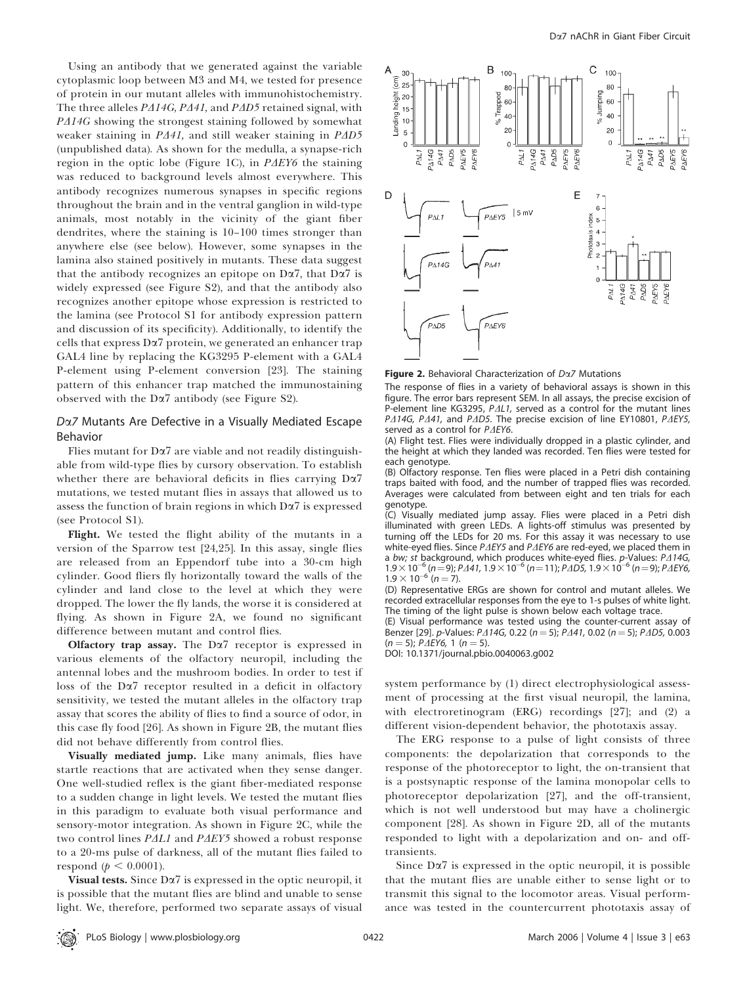Using an antibody that we generated against the variable cytoplasmic loop between M3 and M4, we tested for presence of protein in our mutant alleles with immunohistochemistry. The three alleles  $P\Delta 14G$ ,  $P\Delta 41$ , and  $P\Delta D5$  retained signal, with  $P\Delta 14G$  showing the strongest staining followed by somewhat weaker staining in  $P\Delta 41$ , and still weaker staining in  $P\Delta D5$ (unpublished data). As shown for the medulla, a synapse-rich region in the optic lobe (Figure 1C), in  $P\Delta EY6$  the staining was reduced to background levels almost everywhere. This antibody recognizes numerous synapses in specific regions throughout the brain and in the ventral ganglion in wild-type animals, most notably in the vicinity of the giant fiber dendrites, where the staining is 10–100 times stronger than anywhere else (see below). However, some synapses in the lamina also stained positively in mutants. These data suggest that the antibody recognizes an epitope on  $D\alpha$ 7, that  $D\alpha$ 7 is widely expressed (see Figure S2), and that the antibody also recognizes another epitope whose expression is restricted to the lamina (see Protocol S1 for antibody expression pattern and discussion of its specificity). Additionally, to identify the cells that express Da7 protein, we generated an enhancer trap GAL4 line by replacing the KG3295 P-element with a GAL4 P-element using P-element conversion [23]. The staining pattern of this enhancer trap matched the immunostaining observed with the  $D\alpha$ 7 antibody (see Figure S2).

# Da7 Mutants Are Defective in a Visually Mediated Escape Behavior

Flies mutant for  $D\alpha$ 7 are viable and not readily distinguishable from wild-type flies by cursory observation. To establish whether there are behavioral deficits in flies carrying Da7 mutations, we tested mutant flies in assays that allowed us to assess the function of brain regions in which  $D\alpha$ <sup>7</sup> is expressed (see Protocol S1).

Flight. We tested the flight ability of the mutants in a version of the Sparrow test [24,25]. In this assay, single flies are released from an Eppendorf tube into a 30-cm high cylinder. Good fliers fly horizontally toward the walls of the cylinder and land close to the level at which they were dropped. The lower the fly lands, the worse it is considered at flying. As shown in Figure 2A, we found no significant difference between mutant and control flies.

Olfactory trap assay. The  $D\alpha$ <sup>7</sup> receptor is expressed in various elements of the olfactory neuropil, including the antennal lobes and the mushroom bodies. In order to test if loss of the Da7 receptor resulted in a deficit in olfactory sensitivity, we tested the mutant alleles in the olfactory trap assay that scores the ability of flies to find a source of odor, in this case fly food [26]. As shown in Figure 2B, the mutant flies did not behave differently from control flies.

Visually mediated jump. Like many animals, flies have startle reactions that are activated when they sense danger. One well-studied reflex is the giant fiber-mediated response to a sudden change in light levels. We tested the mutant flies in this paradigm to evaluate both visual performance and sensory-motor integration. As shown in Figure 2C, while the two control lines  $PAL1$  and  $PAEY5$  showed a robust response to a 20-ms pulse of darkness, all of the mutant flies failed to respond ( $p < 0.0001$ ).

Visual tests. Since Da7 is expressed in the optic neuropil, it is possible that the mutant flies are blind and unable to sense light. We, therefore, performed two separate assays of visual



Figure 2. Behavioral Characterization of  $D\alpha Z$  Mutations

The response of flies in a variety of behavioral assays is shown in this figure. The error bars represent SEM. In all assays, the precise excision of P-element line KG3295,  $P\Delta L1$ , served as a control for the mutant lines PA14G, PA41, and PAD5. The precise excision of line EY10801, PAEY5, served as a control for  $P\Delta EY6$ .

(A) Flight test. Flies were individually dropped in a plastic cylinder, and the height at which they landed was recorded. Ten flies were tested for each genotype.

(B) Olfactory response. Ten flies were placed in a Petri dish containing traps baited with food, and the number of trapped flies was recorded. Averages were calculated from between eight and ten trials for each genotype.

(C) Visually mediated jump assay. Flies were placed in a Petri dish illuminated with green LEDs. A lights-off stimulus was presented by turning off the LEDs for 20 ms. For this assay it was necessary to use white-eyed flies. Since  $P\Delta EY5$  and  $P\Delta EY6$  are red-eyed, we placed them in a bw; st background, which produces white-eyed flies.  $p$ -Values:  $P\Delta 14G$ ,  $1.9\times10^{-6}$  (n = 9); P $\Delta$ 41, 1.9  $\times$  10<sup>-6</sup> (n = 11); P $\Delta$ D5, 1.9  $\times$  10<sup>-6</sup> (n = 9); P $\Delta$ EY6,  $1.9 \times 10^{-6}$  (n = 7).

(D) Representative ERGs are shown for control and mutant alleles. We recorded extracellular responses from the eye to 1-s pulses of white light. The timing of the light pulse is shown below each voltage trace.

(E) Visual performance was tested using the counter-current assay of Benzer [29]. p-Values: P $\triangle$ 14G, 0.22 (n = 5); P $\triangle$ 41, 0.02 (n = 5); P $\triangle$ D5, 0.003  $(n = 5)$ ; P $\triangle$ EY6, 1 (n = 5).

DOI: 10.1371/journal.pbio.0040063.g002

system performance by (1) direct electrophysiological assessment of processing at the first visual neuropil, the lamina, with electroretinogram (ERG) recordings [27]; and (2) a different vision-dependent behavior, the phototaxis assay.

The ERG response to a pulse of light consists of three components: the depolarization that corresponds to the response of the photoreceptor to light, the on-transient that is a postsynaptic response of the lamina monopolar cells to photoreceptor depolarization [27], and the off-transient, which is not well understood but may have a cholinergic component [28]. As shown in Figure 2D, all of the mutants responded to light with a depolarization and on- and offtransients.

Since  $D\alpha$ <sup>7</sup> is expressed in the optic neuropil, it is possible that the mutant flies are unable either to sense light or to transmit this signal to the locomotor areas. Visual performance was tested in the countercurrent phototaxis assay of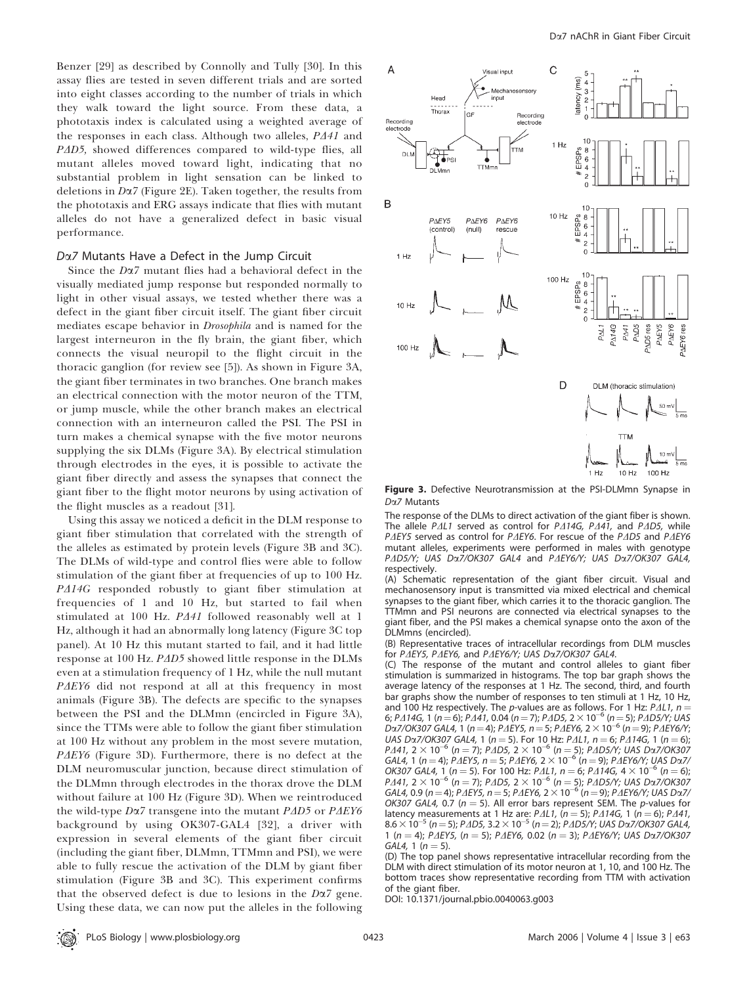Benzer [29] as described by Connolly and Tully [30]. In this assay flies are tested in seven different trials and are sorted into eight classes according to the number of trials in which they walk toward the light source. From these data, a phototaxis index is calculated using a weighted average of the responses in each class. Although two alleles,  $P\Delta 41$  and PAD5, showed differences compared to wild-type flies, all mutant alleles moved toward light, indicating that no substantial problem in light sensation can be linked to deletions in  $D\alpha$ 7 (Figure 2E). Taken together, the results from the phototaxis and ERG assays indicate that flies with mutant alleles do not have a generalized defect in basic visual performance.

#### Da7 Mutants Have a Defect in the Jump Circuit

Since the Da7 mutant flies had a behavioral defect in the visually mediated jump response but responded normally to light in other visual assays, we tested whether there was a defect in the giant fiber circuit itself. The giant fiber circuit mediates escape behavior in Drosophila and is named for the largest interneuron in the fly brain, the giant fiber, which connects the visual neuropil to the flight circuit in the thoracic ganglion (for review see [5]). As shown in Figure 3A, the giant fiber terminates in two branches. One branch makes an electrical connection with the motor neuron of the TTM, or jump muscle, while the other branch makes an electrical connection with an interneuron called the PSI. The PSI in turn makes a chemical synapse with the five motor neurons supplying the six DLMs (Figure 3A). By electrical stimulation through electrodes in the eyes, it is possible to activate the giant fiber directly and assess the synapses that connect the giant fiber to the flight motor neurons by using activation of the flight muscles as a readout [31].

Using this assay we noticed a deficit in the DLM response to giant fiber stimulation that correlated with the strength of the alleles as estimated by protein levels (Figure 3B and 3C). The DLMs of wild-type and control flies were able to follow stimulation of the giant fiber at frequencies of up to 100 Hz. PA14G responded robustly to giant fiber stimulation at frequencies of 1 and 10 Hz, but started to fail when stimulated at 100 Hz.  $P\Delta 41$  followed reasonably well at 1 Hz, although it had an abnormally long latency (Figure 3C top panel). At 10 Hz this mutant started to fail, and it had little response at 100 Hz.  $P\Delta D5$  showed little response in the DLMs even at a stimulation frequency of 1 Hz, while the null mutant PAEY6 did not respond at all at this frequency in most animals (Figure 3B). The defects are specific to the synapses between the PSI and the DLMmn (encircled in Figure 3A), since the TTMs were able to follow the giant fiber stimulation at 100 Hz without any problem in the most severe mutation,  $P\Delta EY6$  (Figure 3D). Furthermore, there is no defect at the DLM neuromuscular junction, because direct stimulation of the DLMmn through electrodes in the thorax drove the DLM without failure at 100 Hz (Figure 3D). When we reintroduced the wild-type D $\alpha$ 7 transgene into the mutant P $\Delta$ D5 or P $\Delta E$ Y6 background by using OK307-GAL4 [32], a driver with expression in several elements of the giant fiber circuit (including the giant fiber, DLMmn, TTMmn and PSI), we were able to fully rescue the activation of the DLM by giant fiber stimulation (Figure 3B and 3C). This experiment confirms that the observed defect is due to lesions in the  $D\alpha$ 7 gene. Using these data, we can now put the alleles in the following



Figure 3. Defective Neurotransmission at the PSI-DLMmn Synapse in Da7 Mutants

The response of the DLMs to direct activation of the giant fiber is shown. The allele  $PAL1$  served as control for  $PAI4G$ ,  $PIA1$ , and  $PAD5$ , while P $\Delta E$ Y5 served as control for P $\Delta E$ Y6. For rescue of the P $\Delta D$ 5 and P $\Delta E$ Y6 mutant alleles, experiments were performed in males with genotype PAD5/Y; UAS Da7/OK307 GAL4 and PAEY6/Y; UAS Da7/OK307 GAL4, respectively.

(A) Schematic representation of the giant fiber circuit. Visual and mechanosensory input is transmitted via mixed electrical and chemical synapses to the giant fiber, which carries it to the thoracic ganglion. The TTMmn and PSI neurons are connected via electrical synapses to the giant fiber, and the PSI makes a chemical synapse onto the axon of the DLMmns (encircled).

(B) Representative traces of intracellular recordings from DLM muscles for PAEY5, PAEY6, and PAEY6/Y; UAS Da7/OK307 GAL4.

(C) The response of the mutant and control alleles to giant fiber stimulation is summarized in histograms. The top bar graph shows the average latency of the responses at 1 Hz. The second, third, and fourth bar graphs show the number of responses to ten stimuli at 1 Hz, 10 Hz, and 100 Hz respectively. The p-values are as follows. For 1 Hz:  $P\Delta L1$ ,  $n =$ 6; P $\Delta$ 14G, 1 (n = 6); P $\Delta$ 41, 0.04 (n = 7); P $\Delta$ D5, 2  $\times$  10 $^{-6}$  (n = 5); P $\Delta$ D5/Y; UAS Da7/OK307 GAL4, 1 (n = 4); P $\varDelta$ EY5, n = 5; P $\varDelta$ EY6, 2  $\times$  10 $^{-6}$  (n = 9); P $\varDelta$ EY6/Y; UAS Da7/OK307 GAL4, 1 (n = 5). For 10 Hz: P $\Delta$ L1, n = 6; P $\Delta$ 14G, 1 (n = 6);  $P\Delta 41$ , 2  $\times$  10<sup>-6</sup> (n = 7); P $\Delta D5$ , 2  $\times$  10<sup>-6</sup> (n = 5); P $\Delta D5/Y$ ; UAS D $\alpha$ 7/OK307 GAL4, 1 (n = 4); P $\Delta$ EY5, n = 5; P $\Delta$ EY6, 2  $\times$  10 $^{-6}$  (n = 9); P $\Delta$ EY6/Y; UAS Da7/ OK307 GAL4, 1 (n = 5). For 100 Hz: P $\Delta$ L1, n = 6; P $\Delta$ 14G, 4  $\times$  10<sup>-6</sup> (n = 6); P $\Delta$ 41, 2  $\times$  10<sup>-6</sup> (n = 7); P $\Delta$ D5, 2  $\times$  10<sup>-6</sup> (n = 5); P $\Delta$ D5/Y; UAS Da7/OK307 GAL4, 0.9 (n = 4); P $\Delta$ EY5, n = 5; P $\Delta$ EY6, 2  $\times$  10 $^{-6}$  (n = 9); P $\Delta$ EY6/Y; UAS Da7/ OK307 GAL4, 0.7 ( $n = 5$ ). All error bars represent SEM. The p-values for latency measurements at 1 Hz are: P $\Delta L1$ , (n = 5); P $\Delta 14G$ , 1 (n = 6); P $\Delta 41$ , 8.6  $\times$  10<sup>-5</sup> (n = 5); P $\Delta$ D5, 3.2 $\times$  10<sup>-5</sup> (n = 2); P $\Delta$ D5/Y; UAS Da7/OK307 GAL4, 1 (n = 4); P $\Delta EYS$ , (n = 5); P $\Delta EYS$ , 0.02 (n = 3); P $\Delta EYS$ , UAS D $\alpha$ 7/OK307 GAL4, 1 ( $n = 5$ ).

(D) The top panel shows representative intracellular recording from the DLM with direct stimulation of its motor neuron at 1, 10, and 100 Hz. The bottom traces show representative recording from TTM with activation of the giant fiber.

DOI: 10.1371/journal.pbio.0040063.g003

PLoS Biology | www.plosbiology.org March 2006 | Volume 4 | Issue 3 | e63 0423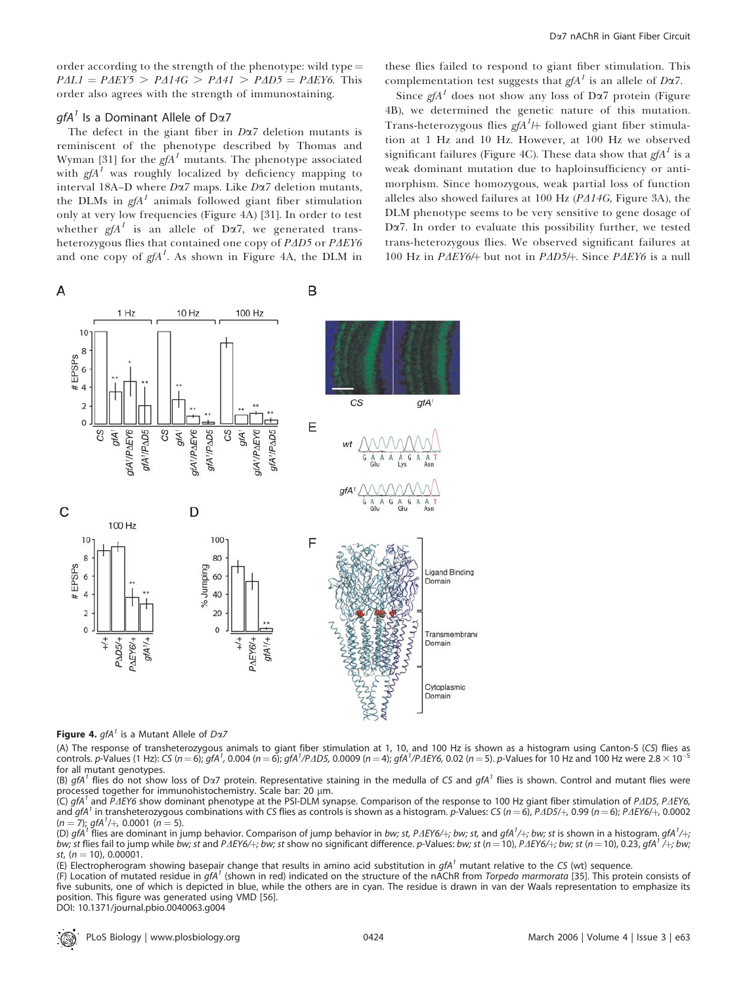order according to the strength of the phenotype: wild type  $=$  $PAL1 = PAEY5 > PA14G > PA41 > PAD5 = PAEY6$ . This order also agrees with the strength of immunostaining.

#### *gfA<sup>1</sup>* Is a Dominant Allele of D $\alpha$ 7

The defect in the giant fiber in  $D\alpha$ 7 deletion mutants is reminiscent of the phenotype described by Thomas and Wyman [31] for the  $gfA<sup>I</sup>$  mutants. The phenotype associated with  $g f A<sup>T</sup>$  was roughly localized by deficiency mapping to interval 18A–D where  $D\alpha$ 7 maps. Like  $D\alpha$ 7 deletion mutants, the DLMs in  $gfA^I$  animals followed giant fiber stimulation only at very low frequencies (Figure 4A) [31]. In order to test whether  $g f A^1$  is an allele of D $\alpha$ 7, we generated transheterozygous flies that contained one copy of  $P\Delta D5$  or  $P\Delta EY6$ and one copy of  $gfa^1$ . As shown in Figure 4A, the DLM in

these flies failed to respond to giant fiber stimulation. This complementation test suggests that  $g f A^1$  is an allele of D $\alpha$ 7.

Since  $g f A^1$  does not show any loss of D $\alpha$ 7 protein (Figure 4B), we determined the genetic nature of this mutation. Trans-heterozygous flies  $gfA^I$  followed giant fiber stimulation at 1 Hz and 10 Hz. However, at 100 Hz we observed significant failures (Figure 4C). These data show that  $\varrho A^I$  is a weak dominant mutation due to haploinsufficiency or antimorphism. Since homozygous, weak partial loss of function alleles also showed failures at 100 Hz ( $P\Delta 14G$ , Figure 3A), the DLM phenotype seems to be very sensitive to gene dosage of Da7. In order to evaluate this possibility further, we tested trans-heterozygous flies. We observed significant failures at 100 Hz in P $\Delta EY6/$  but not in P $\Delta D5/$ . Since P $\Delta EY6$  is a null



Figure 4.  $qfA^{\dagger}$  is a Mutant Allele of Da7

(A) The response of transheterozygous animals to giant fiber stimulation at 1, 10, and 100 Hz is shown as a histogram using Canton-S (CS) flies as controls. p-Values (1 Hz): CS (n = 6); gfA<sup>1</sup>, 0.004 (n = 6); gfA<sup>1</sup>/P*ΔD5,* 0.0009 (n = 4); gfA<sup>1</sup>/P*ΔEY6,* 0.02 (n = 5). p-Values for 10 Hz and 100 Hz were 2.8  $\times$  10<sup>-5</sup> for all mutant genotypes.

(B) gfA<sup>1</sup> flies do not show loss of Da7 protein. Representative staining in the medulla of CS and gfA<sup>1</sup> flies is shown. Control and mutant flies were processed together for immunohistochemistry. Scale bar: 20 µm.

(C) gfA<sup>1</sup> and PAEY6 show dominant phenotype at the PSI-DLM synapse. Comparison of the response to 100 Hz giant fiber stimulation of PAD5, PAEY6, and gfA<sup>1</sup> in transheterozygous combinations with CS flies as controls is shown as a histogram. p-Values: CS ( $n = 6$ ), P $\Delta D5/$  $+$ , 0.99 ( $n = 6$ ); P $\Delta E\gamma/6$  $+$ , 0.0002  $(n = 7)$ ; gfA<sup>1</sup>/+, 0.0001 (n = 5).

(D) gfA<sup>1</sup> flies are dominant in jump behavior. Comparison of jump behavior in bw; st, PAEY6/+; bw; st, and gfA<sup>1</sup>/+; bw; st is shown in a histogram. gfA<sup>1</sup>/+; bw; st flies fail to jump while bw; st and PAEY6/+; bw; st show no significant difference. p-Values: bw; st (n = 10), PAEY6/+; bw; st (n = 10), 0.23, gfA<sup>1</sup>/+; bw; st,  $(n = 10)$ , 0.00001.

(E) Electropherogram showing basepair change that results in amino acid substitution in  $gfa<sup>1</sup>$  mutant relative to the CS (wt) sequence.

(F) Location of mutated residue in gfA<sup>1</sup> (shown in red) indicated on the structure of the nAChR from Torpedo marmorata [35]. This protein consists of five subunits, one of which is depicted in blue, while the others are in cyan. The residue is drawn in van der Waals representation to emphasize its position. This figure was generated using VMD [56].

DOI: 10.1371/journal.pbio.0040063.g004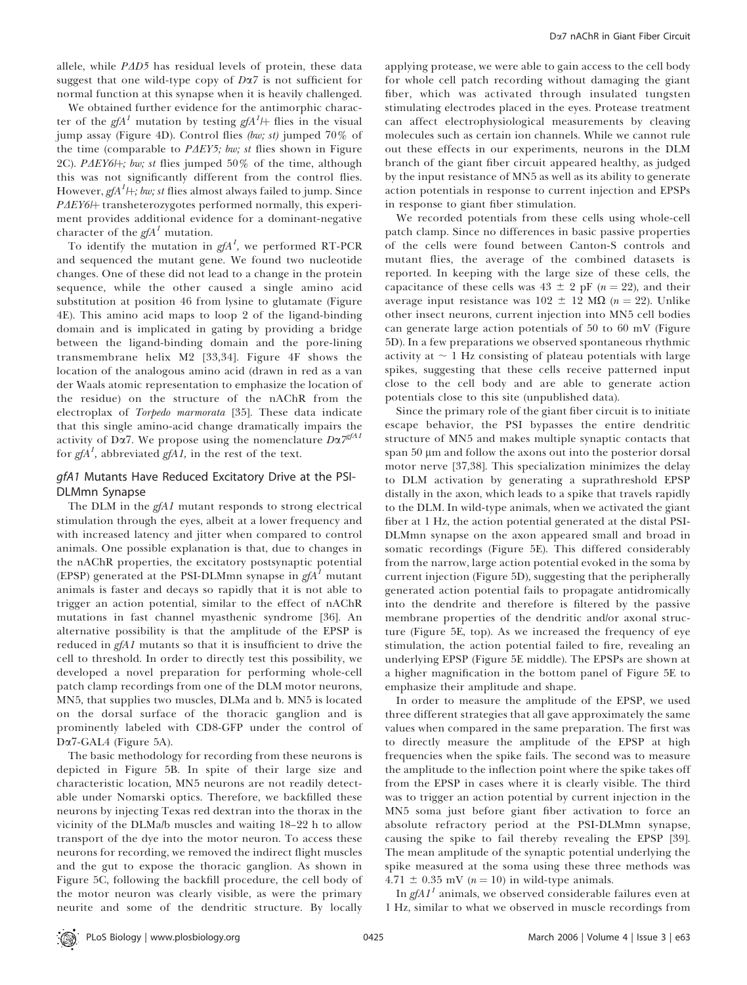allele, while  $P\Delta D5$  has residual levels of protein, these data suggest that one wild-type copy of  $D\alpha$ 7 is not sufficient for normal function at this synapse when it is heavily challenged.

We obtained further evidence for the antimorphic character of the gfA<sup>1</sup> mutation by testing gfA<sup>1</sup>/+ flies in the visual jump assay (Figure 4D). Control flies (bw; st) jumped 70% of the time (comparable to  $P\Delta EY5$ ; bw; st flies shown in Figure 2C). P $\Delta EY6H$ ; bw; st flies jumped 50% of the time, although this was not significantly different from the control flies. However, gfA $^1$ H; bw; st flies almost always failed to jump. Since PAEY6/+ transheterozygotes performed normally, this experiment provides additional evidence for a dominant-negative character of the  $g f A^1$  mutation.

To identify the mutation in  $g f A^1$ , we performed RT-PCR and sequenced the mutant gene. We found two nucleotide changes. One of these did not lead to a change in the protein sequence, while the other caused a single amino acid substitution at position 46 from lysine to glutamate (Figure 4E). This amino acid maps to loop 2 of the ligand-binding domain and is implicated in gating by providing a bridge between the ligand-binding domain and the pore-lining transmembrane helix M2 [33,34]. Figure 4F shows the location of the analogous amino acid (drawn in red as a van der Waals atomic representation to emphasize the location of the residue) on the structure of the nAChR from the electroplax of Torpedo marmorata [35]. These data indicate that this single amino-acid change dramatically impairs the activity of Dα7. We propose using the nomenclature  $D\alpha 7^{gfAI}$ for  $gfA^I$ , abbreviated  $gfA I$ , in the rest of the text.

## gfA1 Mutants Have Reduced Excitatory Drive at the PSI-DLMmn Synapse

The DLM in the gfA1 mutant responds to strong electrical stimulation through the eyes, albeit at a lower frequency and with increased latency and jitter when compared to control animals. One possible explanation is that, due to changes in the nAChR properties, the excitatory postsynaptic potential (EPSP) generated at the PSI-DLMmn synapse in  $gfA<sup>T</sup>$  mutant animals is faster and decays so rapidly that it is not able to trigger an action potential, similar to the effect of nAChR mutations in fast channel myasthenic syndrome [36]. An alternative possibility is that the amplitude of the EPSP is reduced in *gfA1* mutants so that it is insufficient to drive the cell to threshold. In order to directly test this possibility, we developed a novel preparation for performing whole-cell patch clamp recordings from one of the DLM motor neurons, MN5, that supplies two muscles, DLMa and b. MN5 is located on the dorsal surface of the thoracic ganglion and is prominently labeled with CD8-GFP under the control of Da7-GAL4 (Figure 5A).

The basic methodology for recording from these neurons is depicted in Figure 5B. In spite of their large size and characteristic location, MN5 neurons are not readily detectable under Nomarski optics. Therefore, we backfilled these neurons by injecting Texas red dextran into the thorax in the vicinity of the DLMa/b muscles and waiting 18–22 h to allow transport of the dye into the motor neuron. To access these neurons for recording, we removed the indirect flight muscles and the gut to expose the thoracic ganglion. As shown in Figure 5C, following the backfill procedure, the cell body of the motor neuron was clearly visible, as were the primary neurite and some of the dendritic structure. By locally applying protease, we were able to gain access to the cell body for whole cell patch recording without damaging the giant fiber, which was activated through insulated tungsten stimulating electrodes placed in the eyes. Protease treatment can affect electrophysiological measurements by cleaving molecules such as certain ion channels. While we cannot rule out these effects in our experiments, neurons in the DLM branch of the giant fiber circuit appeared healthy, as judged by the input resistance of MN5 as well as its ability to generate action potentials in response to current injection and EPSPs in response to giant fiber stimulation.

We recorded potentials from these cells using whole-cell patch clamp. Since no differences in basic passive properties of the cells were found between Canton-S controls and mutant flies, the average of the combined datasets is reported. In keeping with the large size of these cells, the capacitance of these cells was  $43 \pm 2$  pF (n = 22), and their average input resistance was  $102 \pm 12$  M $\Omega$  (n = 22). Unlike other insect neurons, current injection into MN5 cell bodies can generate large action potentials of 50 to 60 mV (Figure 5D). In a few preparations we observed spontaneous rhythmic activity at  $\sim$  1 Hz consisting of plateau potentials with large spikes, suggesting that these cells receive patterned input close to the cell body and are able to generate action potentials close to this site (unpublished data).

Since the primary role of the giant fiber circuit is to initiate escape behavior, the PSI bypasses the entire dendritic structure of MN5 and makes multiple synaptic contacts that span  $50 \mu m$  and follow the axons out into the posterior dorsal motor nerve [37,38]. This specialization minimizes the delay to DLM activation by generating a suprathreshold EPSP distally in the axon, which leads to a spike that travels rapidly to the DLM. In wild-type animals, when we activated the giant fiber at 1 Hz, the action potential generated at the distal PSI-DLMmn synapse on the axon appeared small and broad in somatic recordings (Figure 5E). This differed considerably from the narrow, large action potential evoked in the soma by current injection (Figure 5D), suggesting that the peripherally generated action potential fails to propagate antidromically into the dendrite and therefore is filtered by the passive membrane properties of the dendritic and/or axonal structure (Figure 5E, top). As we increased the frequency of eye stimulation, the action potential failed to fire, revealing an underlying EPSP (Figure 5E middle). The EPSPs are shown at a higher magnification in the bottom panel of Figure 5E to emphasize their amplitude and shape.

In order to measure the amplitude of the EPSP, we used three different strategies that all gave approximately the same values when compared in the same preparation. The first was to directly measure the amplitude of the EPSP at high frequencies when the spike fails. The second was to measure the amplitude to the inflection point where the spike takes off from the EPSP in cases where it is clearly visible. The third was to trigger an action potential by current injection in the MN5 soma just before giant fiber activation to force an absolute refractory period at the PSI-DLMmn synapse, causing the spike to fail thereby revealing the EPSP [39]. The mean amplitude of the synaptic potential underlying the spike measured at the soma using these three methods was 4.71  $\pm$  0.35 mV (n = 10) in wild-type animals.

In  $gfAl<sup>1</sup>$  animals, we observed considerable failures even at 1 Hz, similar to what we observed in muscle recordings from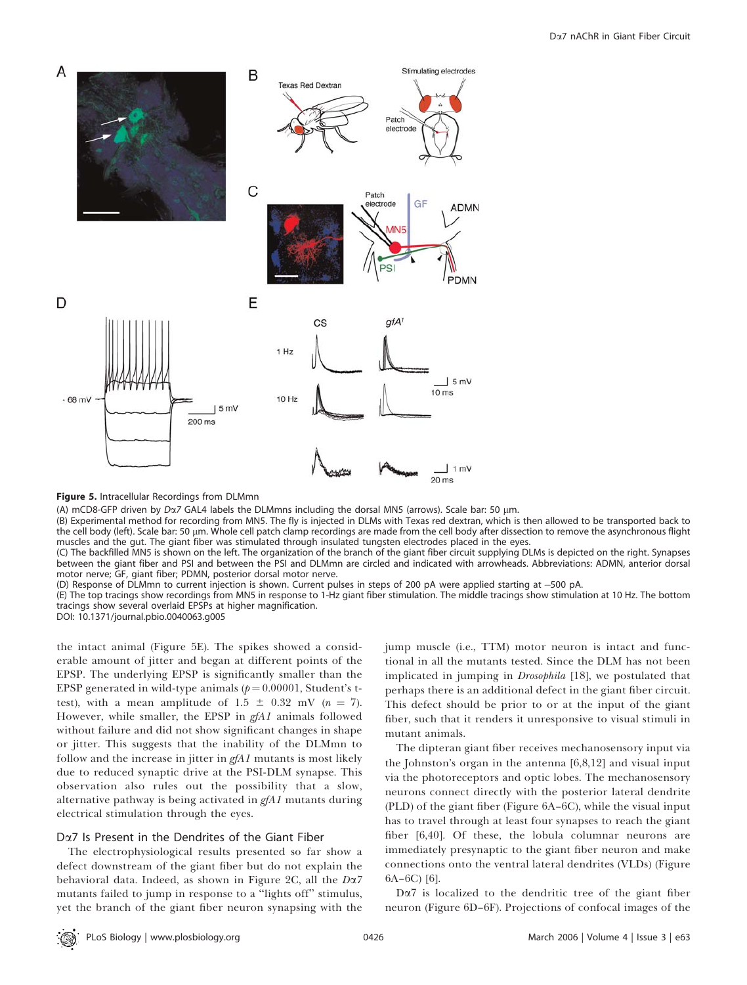

Figure 5. Intracellular Recordings from DLMmn

(A) mCD8-GFP driven by  $D\alpha$ 7 GAL4 labels the DLMmns including the dorsal MN5 (arrows). Scale bar: 50 µm.

(B) Experimental method for recording from MN5. The fly is injected in DLMs with Texas red dextran, which is then allowed to be transported back to the cell body (left). Scale bar: 50 µm. Whole cell patch clamp recordings are made from the cell body after dissection to remove the asynchronous flight muscles and the gut. The giant fiber was stimulated through insulated tungsten electrodes placed in the eyes.

(C) The backfilled MN5 is shown on the left. The organization of the branch of the giant fiber circuit supplying DLMs is depicted on the right. Synapses between the giant fiber and PSI and between the PSI and DLMmn are circled and indicated with arrowheads. Abbreviations: ADMN, anterior dorsal motor nerve; GF, giant fiber; PDMN, posterior dorsal motor nerve.

(D) Response of DLMmn to current injection is shown. Current pulses in steps of 200 pA were applied starting at -500 pA.

(E) The top tracings show recordings from MN5 in response to 1-Hz giant fiber stimulation. The middle tracings show stimulation at 10 Hz. The bottom tracings show several overlaid EPSPs at higher magnification.

DOI: 10.1371/journal.pbio.0040063.g005

the intact animal (Figure 5E). The spikes showed a considerable amount of jitter and began at different points of the EPSP. The underlying EPSP is significantly smaller than the EPSP generated in wild-type animals  $(p=0.00001,$  Student's ttest), with a mean amplitude of 1.5  $\pm$  0.32 mV (n = 7). However, while smaller, the EPSP in gfA1 animals followed without failure and did not show significant changes in shape or jitter. This suggests that the inability of the DLMmn to follow and the increase in jitter in  $gfA1$  mutants is most likely due to reduced synaptic drive at the PSI-DLM synapse. This observation also rules out the possibility that a slow, alternative pathway is being activated in gfA1 mutants during electrical stimulation through the eyes.

### Da7 Is Present in the Dendrites of the Giant Fiber

The electrophysiological results presented so far show a defect downstream of the giant fiber but do not explain the behavioral data. Indeed, as shown in Figure 2C, all the Da7 mutants failed to jump in response to a ''lights off'' stimulus, yet the branch of the giant fiber neuron synapsing with the jump muscle (i.e., TTM) motor neuron is intact and functional in all the mutants tested. Since the DLM has not been implicated in jumping in Drosophila [18], we postulated that perhaps there is an additional defect in the giant fiber circuit. This defect should be prior to or at the input of the giant fiber, such that it renders it unresponsive to visual stimuli in mutant animals.

The dipteran giant fiber receives mechanosensory input via the Johnston's organ in the antenna [6,8,12] and visual input via the photoreceptors and optic lobes. The mechanosensory neurons connect directly with the posterior lateral dendrite (PLD) of the giant fiber (Figure 6A–6C), while the visual input has to travel through at least four synapses to reach the giant fiber [6,40]. Of these, the lobula columnar neurons are immediately presynaptic to the giant fiber neuron and make connections onto the ventral lateral dendrites (VLDs) (Figure 6A–6C) [6].

Da7 is localized to the dendritic tree of the giant fiber neuron (Figure 6D–6F). Projections of confocal images of the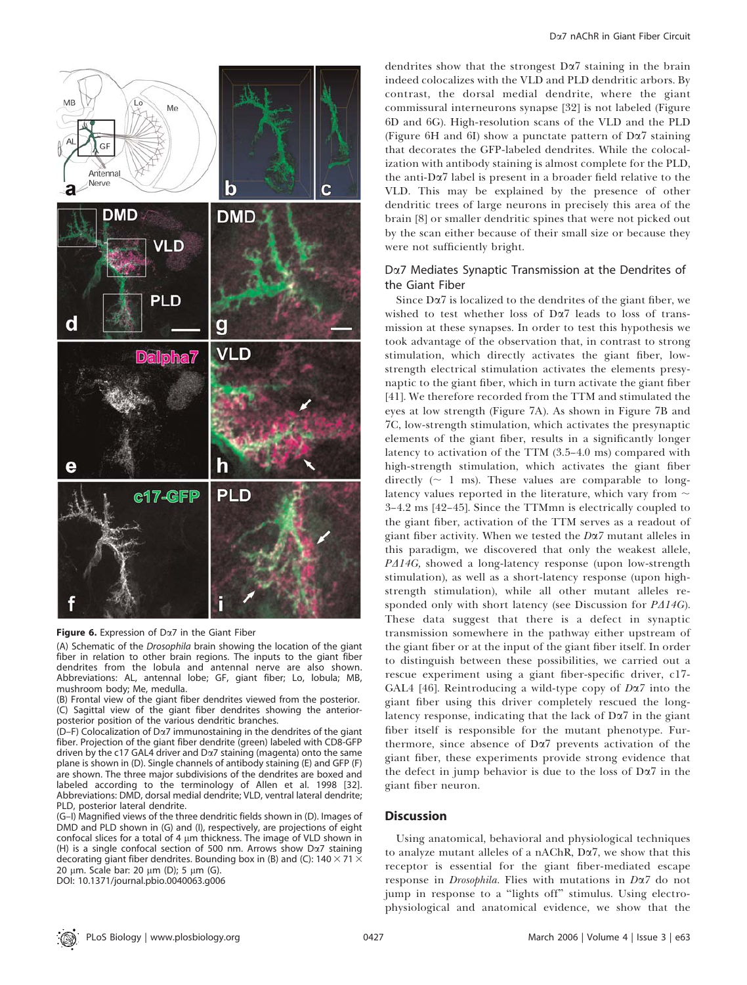

#### Figure 6. Expression of  $D\alpha$ 7 in the Giant Fiber

(A) Schematic of the Drosophila brain showing the location of the giant fiber in relation to other brain regions. The inputs to the giant fiber dendrites from the lobula and antennal nerve are also shown. Abbreviations: AL, antennal lobe; GF, giant fiber; Lo, lobula; MB, mushroom body; Me, medulla.

(B) Frontal view of the giant fiber dendrites viewed from the posterior. (C) Sagittal view of the giant fiber dendrites showing the anteriorposterior position of the various dendritic branches.

 $(D-F)$  Colocalization of D $\alpha$ 7 immunostaining in the dendrites of the giant fiber. Projection of the giant fiber dendrite (green) labeled with CD8-GFP driven by the c17 GAL4 driver and  $D\alpha$ 7 staining (magenta) onto the same plane is shown in (D). Single channels of antibody staining (E) and GFP (F) are shown. The three major subdivisions of the dendrites are boxed and labeled according to the terminology of Allen et al. 1998 [32]. Abbreviations: DMD, dorsal medial dendrite; VLD, ventral lateral dendrite; PLD, posterior lateral dendrite.

(G–I) Magnified views of the three dendritic fields shown in (D). Images of DMD and PLD shown in (G) and (I), respectively, are projections of eight confocal slices for a total of 4  $\mu$ m thickness. The image of VLD shown in (H) is a single confocal section of 500 nm. Arrows show Da7 staining decorating giant fiber dendrites. Bounding box in (B) and (C): 140  $\times$  71  $\times$ 20 μm. Scale bar: 20 μm (D); 5 μm (G).

DOI: 10.1371/journal.pbio.0040063.g006

dendrites show that the strongest  $D\alpha$ <sup>7</sup> staining in the brain indeed colocalizes with the VLD and PLD dendritic arbors. By contrast, the dorsal medial dendrite, where the giant commissural interneurons synapse [32] is not labeled (Figure 6D and 6G). High-resolution scans of the VLD and the PLD (Figure 6H and 6I) show a punctate pattern of  $D\alpha$ 7 staining that decorates the GFP-labeled dendrites. While the colocalization with antibody staining is almost complete for the PLD, the anti-Da7 label is present in a broader field relative to the VLD. This may be explained by the presence of other dendritic trees of large neurons in precisely this area of the brain [8] or smaller dendritic spines that were not picked out by the scan either because of their small size or because they were not sufficiently bright.

# Da7 Mediates Synaptic Transmission at the Dendrites of the Giant Fiber

Since  $D\alpha$ <sup>7</sup> is localized to the dendrites of the giant fiber, we wished to test whether loss of Da7 leads to loss of transmission at these synapses. In order to test this hypothesis we took advantage of the observation that, in contrast to strong stimulation, which directly activates the giant fiber, lowstrength electrical stimulation activates the elements presynaptic to the giant fiber, which in turn activate the giant fiber [41]. We therefore recorded from the TTM and stimulated the eyes at low strength (Figure 7A). As shown in Figure 7B and 7C, low-strength stimulation, which activates the presynaptic elements of the giant fiber, results in a significantly longer latency to activation of the TTM (3.5–4.0 ms) compared with high-strength stimulation, which activates the giant fiber directly  $($   $\sim$  1 ms). These values are comparable to longlatency values reported in the literature, which vary from  $\sim$ 3–4.2 ms [42–45]. Since the TTMmn is electrically coupled to the giant fiber, activation of the TTM serves as a readout of giant fiber activity. When we tested the  $D\alpha$ 7 mutant alleles in this paradigm, we discovered that only the weakest allele,  $P\Delta 14G$ , showed a long-latency response (upon low-strength stimulation), as well as a short-latency response (upon highstrength stimulation), while all other mutant alleles responded only with short latency (see Discussion for  $P\Delta 14G$ ). These data suggest that there is a defect in synaptic transmission somewhere in the pathway either upstream of the giant fiber or at the input of the giant fiber itself. In order to distinguish between these possibilities, we carried out a rescue experiment using a giant fiber-specific driver, c17- GAL4 [46]. Reintroducing a wild-type copy of  $D\alpha$ 7 into the giant fiber using this driver completely rescued the longlatency response, indicating that the lack of  $D\alpha$ <sup>7</sup> in the giant fiber itself is responsible for the mutant phenotype. Furthermore, since absence of Da7 prevents activation of the giant fiber, these experiments provide strong evidence that the defect in jump behavior is due to the loss of  $D\alpha$ 7 in the giant fiber neuron.

## **Discussion**

Using anatomical, behavioral and physiological techniques to analyze mutant alleles of a nAChR, Da7, we show that this receptor is essential for the giant fiber-mediated escape response in Drosophila. Flies with mutations in Da7 do not jump in response to a ''lights off'' stimulus. Using electrophysiological and anatomical evidence, we show that the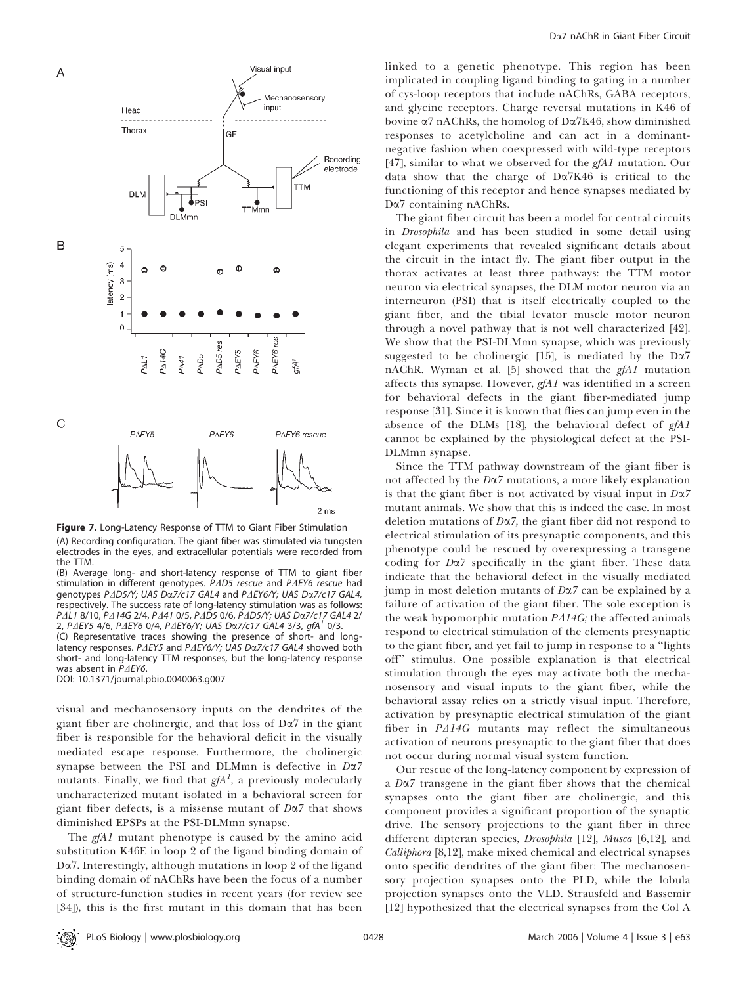

Figure 7. Long-Latency Response of TTM to Giant Fiber Stimulation (A) Recording configuration. The giant fiber was stimulated via tungsten electrodes in the eyes, and extracellular potentials were recorded from the TTM.

(B) Average long- and short-latency response of TTM to giant fiber stimulation in different genotypes. P $\Delta$ D5 rescue and P $\Delta$ EY6 rescue had genotypes PAD5/Y; UAS Da7/c17 GAL4 and PAEY6/Y; UAS Da7/c17 GAL4, respectively. The success rate of long-latency stimulation was as follows: PAL1 8/10, PA14G 2/4, PA41 0/5, PAD5 0/6, PAD5/Y; UAS Da7/c17 GAL4 2/ 2, PAEY5 4/6, PAEY6 0/4, PAEY6/Y; UAS Da7/c17 GAL4 3/3, gfA<sup>1</sup> 0/3. (C) Representative traces showing the presence of short- and longlatency responses. P $\Delta$ EY5 and P $\Delta$ EY6/Y; UAS D $\alpha$ 7/c17 GAL4 showed both short- and long-latency TTM responses, but the long-latency response

was absent in  $P\Delta EY6$ . DOI: 10.1371/journal.pbio.0040063.g007

visual and mechanosensory inputs on the dendrites of the giant fiber are cholinergic, and that loss of  $D\alpha$ 7 in the giant fiber is responsible for the behavioral deficit in the visually mediated escape response. Furthermore, the cholinergic synapse between the PSI and DLMmn is defective in  $D\alpha$ 7 mutants. Finally, we find that  $g f A^1$ , a previously molecularly uncharacterized mutant isolated in a behavioral screen for giant fiber defects, is a missense mutant of  $D\alpha$ 7 that shows diminished EPSPs at the PSI-DLMmn synapse.

The *gfA1* mutant phenotype is caused by the amino acid substitution K46E in loop 2 of the ligand binding domain of Da7. Interestingly, although mutations in loop 2 of the ligand binding domain of nAChRs have been the focus of a number of structure-function studies in recent years (for review see [34]), this is the first mutant in this domain that has been

linked to a genetic phenotype. This region has been implicated in coupling ligand binding to gating in a number of cys-loop receptors that include nAChRs, GABA receptors, and glycine receptors. Charge reversal mutations in K46 of bovine  $\alpha$ 7 nAChRs, the homolog of D $\alpha$ 7K46, show diminished responses to acetylcholine and can act in a dominantnegative fashion when coexpressed with wild-type receptors [47], similar to what we observed for the  $gfA1$  mutation. Our data show that the charge of Da7K46 is critical to the functioning of this receptor and hence synapses mediated by Da7 containing nAChRs.

The giant fiber circuit has been a model for central circuits in Drosophila and has been studied in some detail using elegant experiments that revealed significant details about the circuit in the intact fly. The giant fiber output in the thorax activates at least three pathways: the TTM motor neuron via electrical synapses, the DLM motor neuron via an interneuron (PSI) that is itself electrically coupled to the giant fiber, and the tibial levator muscle motor neuron through a novel pathway that is not well characterized [42]. We show that the PSI-DLMmn synapse, which was previously suggested to be cholinergic [15], is mediated by the  $D\alpha$ 7 nAChR. Wyman et al. [5] showed that the  $gfA1$  mutation affects this synapse. However,  $gfA1$  was identified in a screen for behavioral defects in the giant fiber-mediated jump response [31]. Since it is known that flies can jump even in the absence of the DLMs [18], the behavioral defect of gfA1 cannot be explained by the physiological defect at the PSI-DLMmn synapse.

Since the TTM pathway downstream of the giant fiber is not affected by the  $D\alpha$ 7 mutations, a more likely explanation is that the giant fiber is not activated by visual input in  $D\alpha$ 7 mutant animals. We show that this is indeed the case. In most deletion mutations of  $D\alpha$ 7, the giant fiber did not respond to electrical stimulation of its presynaptic components, and this phenotype could be rescued by overexpressing a transgene coding for Da7 specifically in the giant fiber. These data indicate that the behavioral defect in the visually mediated jump in most deletion mutants of  $D\alpha$ 7 can be explained by a failure of activation of the giant fiber. The sole exception is the weak hypomorphic mutation  $P\Delta 14G$ ; the affected animals respond to electrical stimulation of the elements presynaptic to the giant fiber, and yet fail to jump in response to a ''lights off'' stimulus. One possible explanation is that electrical stimulation through the eyes may activate both the mechanosensory and visual inputs to the giant fiber, while the behavioral assay relies on a strictly visual input. Therefore, activation by presynaptic electrical stimulation of the giant fiber in  $P\Delta 14G$  mutants may reflect the simultaneous activation of neurons presynaptic to the giant fiber that does not occur during normal visual system function.

Our rescue of the long-latency component by expression of a  $D\alpha$ 7 transgene in the giant fiber shows that the chemical synapses onto the giant fiber are cholinergic, and this component provides a significant proportion of the synaptic drive. The sensory projections to the giant fiber in three different dipteran species, Drosophila [12], Musca [6,12], and Calliphora [8,12], make mixed chemical and electrical synapses onto specific dendrites of the giant fiber: The mechanosensory projection synapses onto the PLD, while the lobula projection synapses onto the VLD. Strausfeld and Bassemir [12] hypothesized that the electrical synapses from the Col A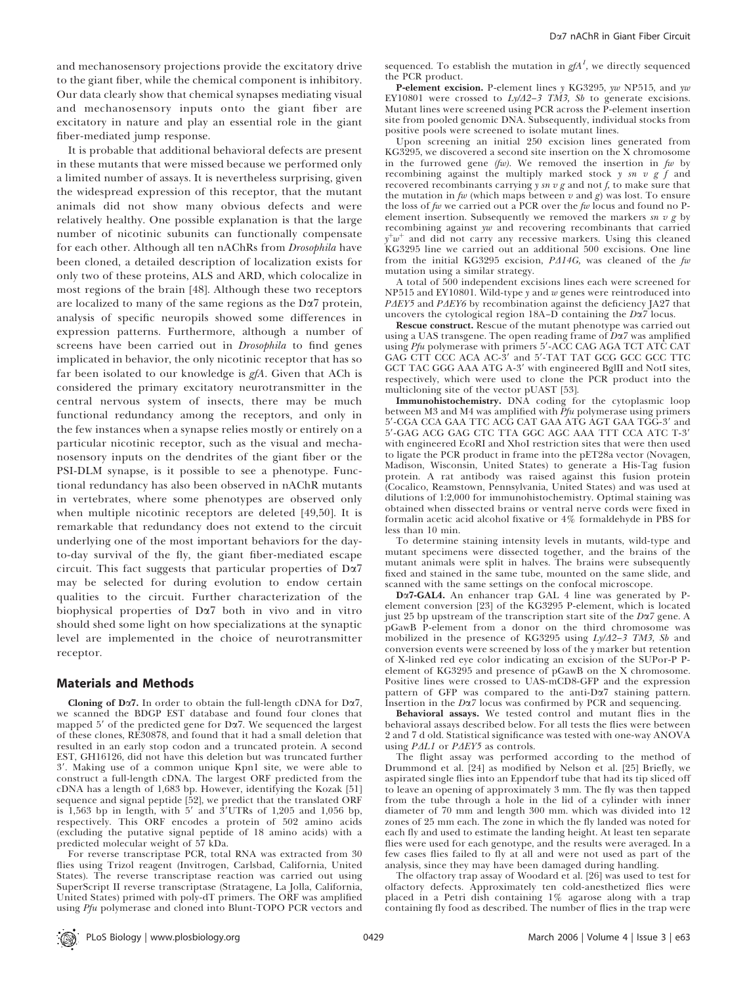and mechanosensory projections provide the excitatory drive to the giant fiber, while the chemical component is inhibitory. Our data clearly show that chemical synapses mediating visual and mechanosensory inputs onto the giant fiber are excitatory in nature and play an essential role in the giant fiber-mediated jump response.

It is probable that additional behavioral defects are present in these mutants that were missed because we performed only a limited number of assays. It is nevertheless surprising, given the widespread expression of this receptor, that the mutant animals did not show many obvious defects and were relatively healthy. One possible explanation is that the large number of nicotinic subunits can functionally compensate for each other. Although all ten nAChRs from Drosophila have been cloned, a detailed description of localization exists for only two of these proteins, ALS and ARD, which colocalize in most regions of the brain [48]. Although these two receptors are localized to many of the same regions as the  $D\alpha$ 7 protein, analysis of specific neuropils showed some differences in expression patterns. Furthermore, although a number of screens have been carried out in Drosophila to find genes implicated in behavior, the only nicotinic receptor that has so far been isolated to our knowledge is gfA. Given that ACh is considered the primary excitatory neurotransmitter in the central nervous system of insects, there may be much functional redundancy among the receptors, and only in the few instances when a synapse relies mostly or entirely on a particular nicotinic receptor, such as the visual and mechanosensory inputs on the dendrites of the giant fiber or the PSI-DLM synapse, is it possible to see a phenotype. Functional redundancy has also been observed in nAChR mutants in vertebrates, where some phenotypes are observed only when multiple nicotinic receptors are deleted [49,50]. It is remarkable that redundancy does not extend to the circuit underlying one of the most important behaviors for the dayto-day survival of the fly, the giant fiber-mediated escape circuit. This fact suggests that particular properties of Da7 may be selected for during evolution to endow certain qualities to the circuit. Further characterization of the biophysical properties of Da7 both in vivo and in vitro should shed some light on how specializations at the synaptic level are implemented in the choice of neurotransmitter receptor.

## Materials and Methods

Cloning of D $\alpha$ 7. In order to obtain the full-length cDNA for D $\alpha$ 7, we scanned the BDGP EST database and found four clones that mapped  $5'$  of the predicted gene for D $\alpha$ 7. We sequenced the largest of these clones, RE30878, and found that it had a small deletion that resulted in an early stop codon and a truncated protein. A second EST, GH16126, did not have this deletion but was truncated further 3'. Making use of a common unique Kpn1 site, we were able to construct a full-length cDNA. The largest ORF predicted from the cDNA has a length of 1,683 bp. However, identifying the Kozak [51] sequence and signal peptide [52], we predict that the translated ORF is  $1,563$  bp in length, with  $5'$  and  $3'UTRs$  of 1,205 and 1,056 bp, respectively. This ORF encodes a protein of 502 amino acids (excluding the putative signal peptide of 18 amino acids) with a predicted molecular weight of 57 kDa.

For reverse transcriptase PCR, total RNA was extracted from 30 flies using Trizol reagent (Invitrogen, Carlsbad, California, United States). The reverse transcriptase reaction was carried out using SuperScript II reverse transcriptase (Stratagene, La Jolla, California, United States) primed with poly-dT primers. The ORF was amplified using Pfu polymerase and cloned into Blunt-TOPO PCR vectors and

sequenced. To establish the mutation in  $\emph{gfA}^{\emph{1}}$ , we directly sequenced the PCR product.

P-element excision. P-element lines y KG3295, yw NP515, and yw EY10801 were crossed to  $Ly/\Delta2-3$  TM3, Sb to generate excisions. Mutant lines were screened using PCR across the P-element insertion site from pooled genomic DNA. Subsequently, individual stocks from positive pools were screened to isolate mutant lines.

Upon screening an initial 250 excision lines generated from KG3295, we discovered a second site insertion on the X chromosome in the furrowed gene  $(fw)$ . We removed the insertion in  $fw$  by recombining against the multiply marked stock  $y \text{ } sn \text{ } v \text{ } g \text{ } f$  and recovered recombinants carrying  $y \, sn \, v \, g$  and not  $f$ , to make sure that the mutation in  $fw$  (which maps between  $v$  and  $g$ ) was lost. To ensure the loss of  $fw$  we carried out a PCR over the  $fw$  locus and found no Pelement insertion. Subsequently we removed the markers sn v g by recombining against yw and recovering recombinants that carried  $y^+w^+$  and did not carry any recessive markers. Using this cleaned KG3295 line we carried out an additional 500 excisions. One line from the initial KG3295 excision,  $P\Delta 14G$ , was cleaned of the fw mutation using a similar strategy.

A total of 500 independent excisions lines each were screened for NP515 and EY10801. Wild-type  $y$  and  $w$  genes were reintroduced into *PAEY5* and *PAEY6* by recombination against the deficiency JA27 that uncovers the cytological region  $18A-D$  containing the  $D\alpha/7$  locus.

Rescue construct. Rescue of the mutant phenotype was carried out using a UAS transgene. The open reading frame of  $D\alpha$ 7 was amplified using Pfu polymerase with primers 5'-ACC CAG AGA TCT ATC CAT GAG CTT CCC ACA AC-3' and 5'-TAT TAT GCG GCC GCC TTC GCT TAC GGG AAA ATG A-3' with engineered BglII and NotI sites, respectively, which were used to clone the PCR product into the multicloning site of the vector pUAST [53].

Immunohistochemistry. DNA coding for the cytoplasmic loop between M3 and M4 was amplified with Pfu polymerase using primers 5'-CGA CCA GAA TTC ACG CAT GAA ATG AGT GAA TGG-3' and 5'-GAG ACG GAG CTC TTA GGC AGC AAA TTT CCA ATC T-3' with engineered EcoRI and XhoI restriction sites that were then used to ligate the PCR product in frame into the pET28a vector (Novagen, Madison, Wisconsin, United States) to generate a His-Tag fusion protein. A rat antibody was raised against this fusion protein (Cocalico, Reamstown, Pennsylvania, United States) and was used at dilutions of 1:2,000 for immunohistochemistry. Optimal staining was obtained when dissected brains or ventral nerve cords were fixed in formalin acetic acid alcohol fixative or 4% formaldehyde in PBS for less than 10 min.

To determine staining intensity levels in mutants, wild-type and mutant specimens were dissected together, and the brains of the mutant animals were split in halves. The brains were subsequently fixed and stained in the same tube, mounted on the same slide, and scanned with the same settings on the confocal microscope.

Da7-GAL4. An enhancer trap GAL 4 line was generated by Pelement conversion [23] of the KG3295 P-element, which is located just 25 bp upstream of the transcription start site of the  $D\alpha$ 7 gene. A pGawB P-element from a donor on the third chromosome was mobilized in the presence of KG3295 using  $Ly/d2-3$  TM3, Sb and conversion events were screened by loss of the y marker but retention of X-linked red eye color indicating an excision of the SUPor-P Pelement of KG3295 and presence of pGawB on the X chromosome. Positive lines were crossed to UAS-mCD8-GFP and the expression pattern of GFP was compared to the anti-Da7 staining pattern. Insertion in the Da7 locus was confirmed by PCR and sequencing.

Behavioral assays. We tested control and mutant flies in the behavioral assays described below. For all tests the flies were between 2 and 7 d old. Statistical significance was tested with one-way ANOVA using  $PAL1$  or  $PAEY5$  as controls.

The flight assay was performed according to the method of Drummond et al. [24] as modified by Nelson et al. [25] Briefly, we aspirated single flies into an Eppendorf tube that had its tip sliced off to leave an opening of approximately 3 mm. The fly was then tapped from the tube through a hole in the lid of a cylinder with inner diameter of 70 mm and length 300 mm. which was divided into 12 zones of 25 mm each. The zone in which the fly landed was noted for each fly and used to estimate the landing height. At least ten separate flies were used for each genotype, and the results were averaged. In a few cases flies failed to fly at all and were not used as part of the analysis, since they may have been damaged during handling.

The olfactory trap assay of Woodard et al. [26] was used to test for olfactory defects. Approximately ten cold-anesthetized flies were placed in a Petri dish containing 1% agarose along with a trap containing fly food as described. The number of flies in the trap were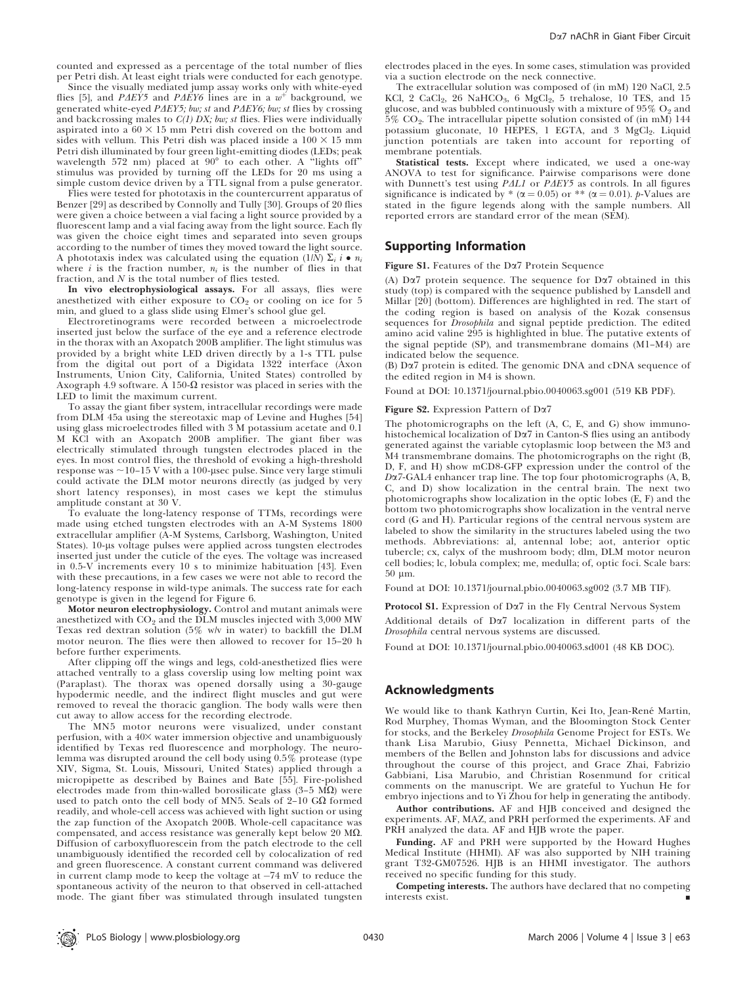counted and expressed as a percentage of the total number of flies per Petri dish. At least eight trials were conducted for each genotype.

Since the visually mediated jump assay works only with white-eyed flies [5], and PAEY5 and PAEY6 lines are in a  $w^+$  background, we generated white-eyed PAEY5; bw; st and PAEY6; bw; st flies by crossing and backcrossing males to  $C(1)$  DX; bw; st flies. Flies were individually aspirated into a  $60 \times 15$  mm Petri dish covered on the bottom and sides with vellum. This Petri dish was placed inside a  $100 \times 15$  mm Petri dish illuminated by four green light-emitting diodes (LEDs; peak wavelength 572 nm) placed at  $90^\circ$  to each other. A "lights off" stimulus was provided by turning off the LEDs for 20 ms using a simple custom device driven by a TTL signal from a pulse generator.

Flies were tested for phototaxis in the countercurrent apparatus of Benzer [29] as described by Connolly and Tully [30]. Groups of 20 flies were given a choice between a vial facing a light source provided by a fluorescent lamp and a vial facing away from the light source. Each fly was given the choice eight times and separated into seven groups according to the number of times they moved toward the light source. A phototaxis index was calculated using the equation (1/N)  $\Sigma_i$  i •  $n_i$ where i is the fraction number,  $n_i$  is the number of flies in that fraction, and N is the total number of flies tested.

In vivo electrophysiological assays. For all assays, flies were anesthetized with either exposure to  $CO<sub>2</sub>$  or cooling on ice for  $5$ min, and glued to a glass slide using Elmer's school glue gel.

Electroretinograms were recorded between a microelectrode inserted just below the surface of the eye and a reference electrode in the thorax with an Axopatch 200B amplifier. The light stimulus was provided by a bright white LED driven directly by a 1-s TTL pulse from the digital out port of a Digidata 1322 interface (Axon Instruments, Union City, California, United States) controlled by Axograph 4.9 software. A 150- $\Omega$  resistor was placed in series with the LED to limit the maximum current.

To assay the giant fiber system, intracellular recordings were made from DLM 45a using the stereotaxic map of Levine and Hughes [54] using glass microelectrodes filled with 3 M potassium acetate and 0.1 M KCl with an Axopatch 200B amplifier. The giant fiber was electrically stimulated through tungsten electrodes placed in the eyes. In most control flies, the threshold of evoking a high-threshold response was  $\sim$ 10–15 V with a 100-usec pulse. Since very large stimuli could activate the DLM motor neurons directly (as judged by very short latency responses), in most cases we kept the stimulus amplitude constant at 30 V.

To evaluate the long-latency response of TTMs, recordings were made using etched tungsten electrodes with an A-M Systems 1800 extracellular amplifier (A-M Systems, Carlsborg, Washington, United States). 10-us voltage pulses were applied across tungsten electrodes inserted just under the cuticle of the eyes. The voltage was increased in 0.5-V increments every 10 s to minimize habituation [43]. Even with these precautions, in a few cases we were not able to record the long-latency response in wild-type animals. The success rate for each genotype is given in the legend for Figure 6.

Motor neuron electrophysiology. Control and mutant animals were anesthetized with  $CO_2$  and the DLM muscles injected with 3,000 MW Texas red dextran solution (5% w/v in water) to backfill the DLM motor neuron. The flies were then allowed to recover for 15–20 h before further experiments.

After clipping off the wings and legs, cold-anesthetized flies were attached ventrally to a glass coverslip using low melting point wax (Paraplast). The thorax was opened dorsally using a 30-gauge hypodermic needle, and the indirect flight muscles and gut were removed to reveal the thoracic ganglion. The body walls were then cut away to allow access for the recording electrode.

The MN5 motor neurons were visualized, under constant perfusion, with a 40X water immersion objective and unambiguously identified by Texas red fluorescence and morphology. The neurolemma was disrupted around the cell body using  $0.5\%$  protease (type XIV, Sigma, St. Louis, Missouri, United States) applied through a micropipette as described by Baines and Bate [55]. Fire-polished electrodes made from thin-walled borosilicate glass  $(3-5 \text{ M}\Omega)$  were used to patch onto the cell body of MN5. Seals of  $2-10$  G $\Omega$  formed readily, and whole-cell access was achieved with light suction or using the zap function of the Axopatch 200B. Whole-cell capacitance was compensated, and access resistance was generally kept below 20 M $\Omega$ . Diffusion of carboxyfluorescein from the patch electrode to the cell unambiguously identified the recorded cell by colocalization of red and green fluorescence. A constant current command was delivered in current clamp mode to keep the voltage at  $-74$  mV to reduce the spontaneous activity of the neuron to that observed in cell-attached mode. The giant fiber was stimulated through insulated tungsten

electrodes placed in the eyes. In some cases, stimulation was provided via a suction electrode on the neck connective.

The extracellular solution was composed of (in mM) 120 NaCl, 2.5 KCl, 2 CaCl<sub>2</sub>, 26 NaHCO<sub>3</sub>, 6 MgCl<sub>2</sub>, 5 trehalose, 10 TES, and 15 glucose, and was bubbled continuously with a mixture of  $95\%$  O<sub>2</sub> and  $5\%$  CO<sub>2</sub>. The intracellular pipette solution consisted of (in mM) 144 potassium gluconate, 10 HEPES, 1 EGTA, and 3 MgCl<sub>2</sub>. Liquid junction potentials are taken into account for reporting of membrane potentials.

Statistical tests. Except where indicated, we used a one-way ANOVA to test for significance. Pairwise comparisons were done with Dunnett's test using  $PAL1$  or  $PAEY5$  as controls. In all figures significance is indicated by \* ( $\alpha$  = 0.05) or \*\* ( $\alpha$  = 0.01). p-Values are stated in the figure legends along with the sample numbers. All reported errors are standard error of the mean (SEM).

## Supporting Information

Figure S1. Features of the Da7 Protein Sequence

(A)  $D\alpha$ 7 protein sequence. The sequence for  $D\alpha$ 7 obtained in this study (top) is compared with the sequence published by Lansdell and Millar [20] (bottom). Differences are highlighted in red. The start of the coding region is based on analysis of the Kozak consensus sequences for Drosophila and signal peptide prediction. The edited amino acid valine 295 is highlighted in blue. The putative extents of the signal peptide (SP), and transmembrane domains (M1–M4) are indicated below the sequence.

(B) Da7 protein is edited. The genomic DNA and cDNA sequence of the edited region in M4 is shown.

Found at DOI: 10.1371/journal.pbio.0040063.sg001 (519 KB PDF).

#### Figure S2. Expression Pattern of Da7

The photomicrographs on the left (A, C, E, and G) show immunohistochemical localization of Da7 in Canton-S flies using an antibody generated against the variable cytoplasmic loop between the M3 and M4 transmembrane domains. The photomicrographs on the right (B, D, F, and H) show mCD8-GFP expression under the control of the Da7-GAL4 enhancer trap line. The top four photomicrographs (A, B, C, and D) show localization in the central brain. The next two photomicrographs show localization in the optic lobes (E, F) and the bottom two photomicrographs show localization in the ventral nerve cord (G and H). Particular regions of the central nervous system are labeled to show the similarity in the structures labeled using the two methods. Abbreviations: al, antennal lobe; aot, anterior optic tubercle; cx, calyx of the mushroom body; dlm, DLM motor neuron cell bodies; lc, lobula complex; me, medulla; of, optic foci. Scale bars: 50 lm.

Found at DOI: 10.1371/journal.pbio.0040063.sg002 (3.7 MB TIF).

Protocol S1. Expression of Da7 in the Fly Central Nervous System

Additional details of Da7 localization in different parts of the Drosophila central nervous systems are discussed.

Found at DOI: 10.1371/journal.pbio.0040063.sd001 (48 KB DOC).

### Acknowledgments

We would like to thank Kathryn Curtin, Kei Ito, Jean-René Martin, Rod Murphey, Thomas Wyman, and the Bloomington Stock Center for stocks, and the Berkeley Drosophila Genome Project for ESTs. We thank Lisa Marubio, Giusy Pennetta, Michael Dickinson, and members of the Bellen and Johnston labs for discussions and advice throughout the course of this project, and Grace Zhai, Fabrizio Gabbiani, Lisa Marubio, and Christian Rosenmund for critical comments on the manuscript. We are grateful to Yuchun He for embryo injections and to Yi Zhou for help in generating the antibody.

Author contributions. AF and HJB conceived and designed the experiments. AF, MAZ, and PRH performed the experiments. AF and PRH analyzed the data. AF and HJB wrote the paper.

Funding. AF and PRH were supported by the Howard Hughes Medical Institute (HHMI). AF was also supported by NIH training grant T32-GM07526. HJB is an HHMI investigator. The authors received no specific funding for this study.

Competing interests. The authors have declared that no competing interests exist. *&*